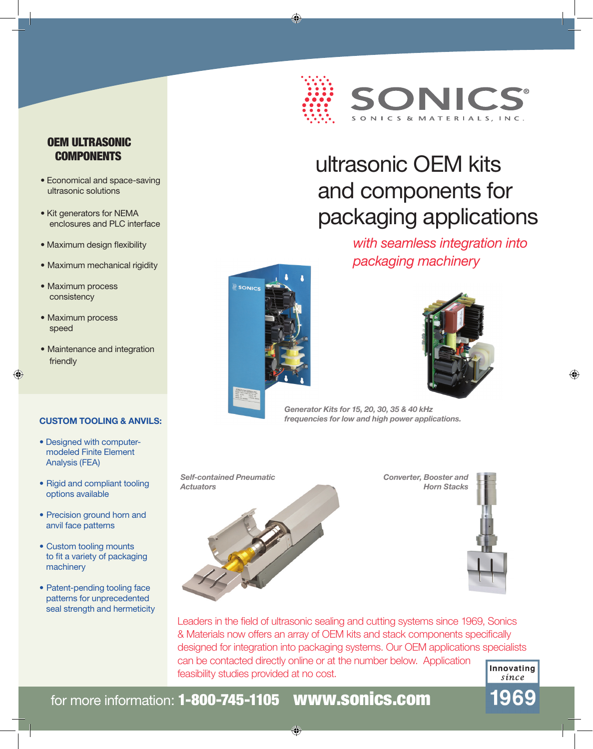

# ultrasonic OEM kits and components for packaging applications

*with seamless integration into packaging machinery*







*Generator Kits for 15, 20, 30, 35 & 40 kHz frequencies for low and high power applications.* 

*Self-contained Pneumatic Actuators*



*Converter, Booster and Horn Stacks*



Leaders in the field of ultrasonic sealing and cutting systems since 1969, Sonics & Materials now offers an array of OEM kits and stack components specifically designed for integration into packaging systems. Our OEM applications specialists can be contacted directly online or at the number below. Application feasibility studies provided at no cost.



196

## OEM ULTRASONIC **COMPONENTS**

- Economical and space-saving ultrasonic solutions
- Kit generators for NEMA enclosures and PLC interface
- Maximum design flexibility
- Maximum mechanical rigidity
- Maximum process consistency
- Maximum process speed
- Maintenance and integration friendly

#### **CUSTOM TOOLING & ANVILS:**

- Designed with computer modeled Finite Element Analysis (FEA)
- Rigid and compliant tooling options available
- Precision ground horn and anvil face patterns
- Custom tooling mounts to fit a variety of packaging machinery
- Patent-pending tooling face patterns for unprecedented seal strength and hermeticity

for more information: 1-800-745-1105 www.sonics.com